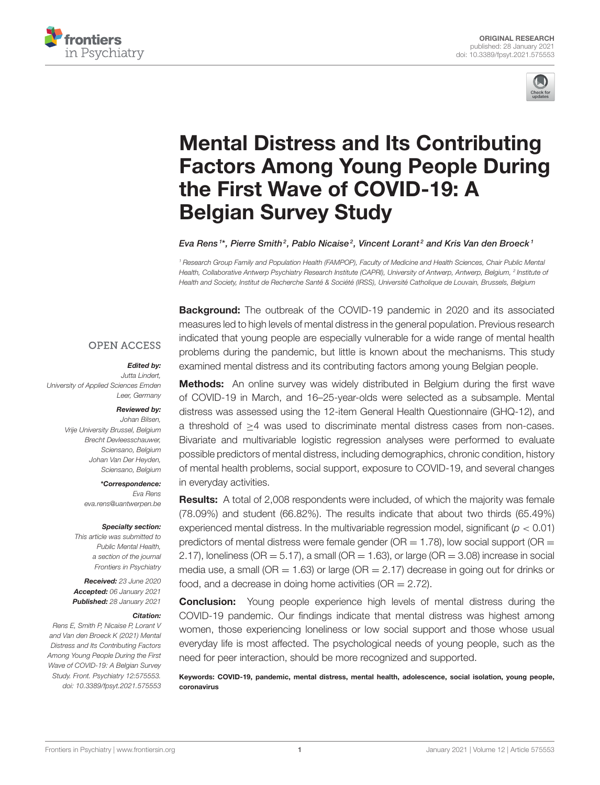



# Mental Distress and Its Contributing [Factors Among Young People During](https://www.frontiersin.org/articles/10.3389/fpsyt.2021.575553/full) the First Wave of COVID-19: A Belgian Survey Study

#### Eva Rens  $i^*$ , Pierre Smith $^2$ , Pablo Nicaise $^2$ , Vincent Lorant $^2$  and Kris Van den Broeck  $^1$

<sup>1</sup> Research Group Family and Population Health (FAMPOP), Faculty of Medicine and Health Sciences, Chair Public Mental Health, Collaborative Antwerp Psychiatry Research Institute (CAPRI), University of Antwerp, Antwerp, Belgium, <sup>2</sup> Institute ot Health and Society, Institut de Recherche Santé & Société (IRSS), Université Catholique de Louvain, Brussels, Belgium

**Background:** The outbreak of the COVID-19 pandemic in 2020 and its associated measures led to high levels of mental distress in the general population. Previous research indicated that young people are especially vulnerable for a wide range of mental health problems during the pandemic, but little is known about the mechanisms. This study examined mental distress and its contributing factors among young Belgian people.

## **OPEN ACCESS**

#### Edited by:

Jutta Lindert, University of Applied Sciences Emden Leer, Germany

#### Reviewed by:

Johan Bilsen, Vrije University Brussel, Belgium Brecht Devleesschauwer, Sciensano, Belgium Johan Van Der Heyden, Sciensano, Belgium

#### \*Correspondence:

Eva Rens [eva.rens@uantwerpen.be](mailto:eva.rens@uantwerpen.be)

#### Specialty section:

This article was submitted to Public Mental Health, a section of the journal Frontiers in Psychiatry

Received: 23 June 2020 Accepted: 06 January 2021 Published: 28 January 2021

#### Citation:

Rens E, Smith P, Nicaise P, Lorant V and Van den Broeck K (2021) Mental Distress and Its Contributing Factors Among Young People During the First Wave of COVID-19: A Belgian Survey Study. Front. Psychiatry 12:575553. doi: [10.3389/fpsyt.2021.575553](https://doi.org/10.3389/fpsyt.2021.575553)

**Methods:** An online survey was widely distributed in Belgium during the first wave of COVID-19 in March, and 16–25-year-olds were selected as a subsample. Mental distress was assessed using the 12-item General Health Questionnaire (GHQ-12), and a threshold of ≥4 was used to discriminate mental distress cases from non-cases. Bivariate and multivariable logistic regression analyses were performed to evaluate possible predictors of mental distress, including demographics, chronic condition, history of mental health problems, social support, exposure to COVID-19, and several changes in everyday activities.

Results: A total of 2,008 respondents were included, of which the majority was female (78.09%) and student (66.82%). The results indicate that about two thirds (65.49%) experienced mental distress. In the multivariable regression model, significant ( $p < 0.01$ ) predictors of mental distress were female gender ( $OR = 1.78$ ), low social support ( $OR =$ 2.17), loneliness (OR = 5.17), a small (OR = 1.63), or large (OR = 3.08) increase in social media use, a small (OR  $=$  1.63) or large (OR  $=$  2.17) decrease in going out for drinks or food, and a decrease in doing home activities ( $OR = 2.72$ ).

**Conclusion:** Young people experience high levels of mental distress during the COVID-19 pandemic. Our findings indicate that mental distress was highest among women, those experiencing loneliness or low social support and those whose usual everyday life is most affected. The psychological needs of young people, such as the need for peer interaction, should be more recognized and supported.

Keywords: COVID-19, pandemic, mental distress, mental health, adolescence, social isolation, young people, coronavirus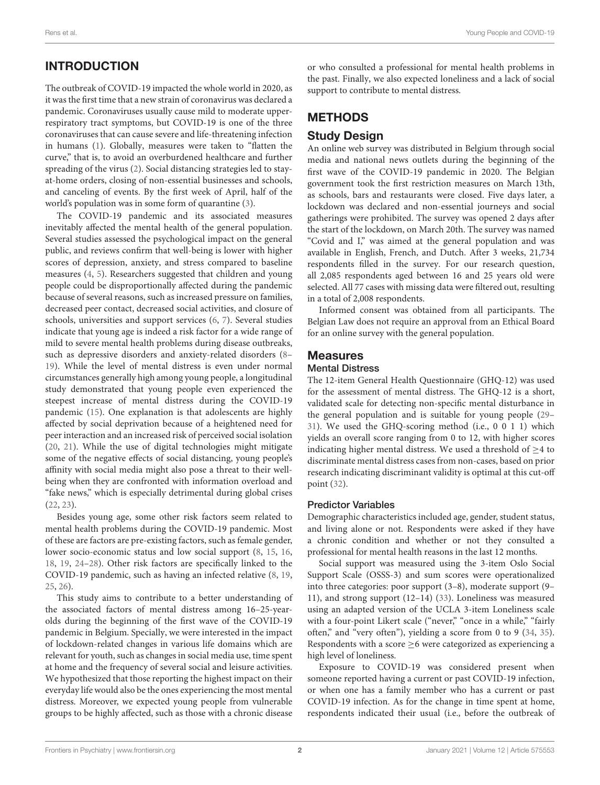# INTRODUCTION

The outbreak of COVID-19 impacted the whole world in 2020, as it was the first time that a new strain of coronavirus was declared a pandemic. Coronaviruses usually cause mild to moderate upperrespiratory tract symptoms, but COVID-19 is one of the three coronaviruses that can cause severe and life-threatening infection in humans [\(1\)](#page-6-0). Globally, measures were taken to "flatten the curve," that is, to avoid an overburdened healthcare and further spreading of the virus [\(2\)](#page-6-1). Social distancing strategies led to stayat-home orders, closing of non-essential businesses and schools, and canceling of events. By the first week of April, half of the world's population was in some form of quarantine [\(3\)](#page-6-2).

The COVID-19 pandemic and its associated measures inevitably affected the mental health of the general population. Several studies assessed the psychological impact on the general public, and reviews confirm that well-being is lower with higher scores of depression, anxiety, and stress compared to baseline measures [\(4,](#page-6-3) [5\)](#page-6-4). Researchers suggested that children and young people could be disproportionally affected during the pandemic because of several reasons, such as increased pressure on families, decreased peer contact, decreased social activities, and closure of schools, universities and support services [\(6,](#page-6-5) [7\)](#page-6-6). Several studies indicate that young age is indeed a risk factor for a wide range of mild to severe mental health problems during disease outbreaks, such as depressive disorders and anxiety-related disorders [\(8–](#page-6-7) [19\)](#page-7-0). While the level of mental distress is even under normal circumstances generally high among young people, a longitudinal study demonstrated that young people even experienced the steepest increase of mental distress during the COVID-19 pandemic [\(15\)](#page-7-1). One explanation is that adolescents are highly affected by social deprivation because of a heightened need for peer interaction and an increased risk of perceived social isolation [\(20,](#page-7-2) [21\)](#page-7-3). While the use of digital technologies might mitigate some of the negative effects of social distancing, young people's affinity with social media might also pose a threat to their wellbeing when they are confronted with information overload and "fake news," which is especially detrimental during global crises [\(22,](#page-7-4) [23\)](#page-7-5).

Besides young age, some other risk factors seem related to mental health problems during the COVID-19 pandemic. Most of these are factors are pre-existing factors, such as female gender, lower socio-economic status and low social support [\(8,](#page-6-7) [15,](#page-7-1) [16,](#page-7-6) [18,](#page-7-7) [19,](#page-7-0) [24](#page-7-8)[–28\)](#page-7-9). Other risk factors are specifically linked to the COVID-19 pandemic, such as having an infected relative [\(8,](#page-6-7) [19,](#page-7-0) [25,](#page-7-10) [26\)](#page-7-11).

This study aims to contribute to a better understanding of the associated factors of mental distress among 16–25-yearolds during the beginning of the first wave of the COVID-19 pandemic in Belgium. Specially, we were interested in the impact of lockdown-related changes in various life domains which are relevant for youth, such as changes in social media use, time spent at home and the frequency of several social and leisure activities. We hypothesized that those reporting the highest impact on their everyday life would also be the ones experiencing the most mental distress. Moreover, we expected young people from vulnerable groups to be highly affected, such as those with a chronic disease or who consulted a professional for mental health problems in the past. Finally, we also expected loneliness and a lack of social support to contribute to mental distress.

# **METHODS**

# Study Design

An online web survey was distributed in Belgium through social media and national news outlets during the beginning of the first wave of the COVID-19 pandemic in 2020. The Belgian government took the first restriction measures on March 13th, as schools, bars and restaurants were closed. Five days later, a lockdown was declared and non-essential journeys and social gatherings were prohibited. The survey was opened 2 days after the start of the lockdown, on March 20th. The survey was named "Covid and I," was aimed at the general population and was available in English, French, and Dutch. After 3 weeks, 21,734 respondents filled in the survey. For our research question, all 2,085 respondents aged between 16 and 25 years old were selected. All 77 cases with missing data were filtered out, resulting in a total of 2,008 respondents.

Informed consent was obtained from all participants. The Belgian Law does not require an approval from an Ethical Board for an online survey with the general population.

## **Measures**

### Mental Distress

The 12-item General Health Questionnaire (GHQ-12) was used for the assessment of mental distress. The GHQ-12 is a short, validated scale for detecting non-specific mental disturbance in the general population and is suitable for young people [\(29–](#page-7-12) [31\)](#page-7-13). We used the GHQ-scoring method (i.e., 0 0 1 1) which yields an overall score ranging from 0 to 12, with higher scores indicating higher mental distress. We used a threshold of  $\geq$ 4 to discriminate mental distress cases from non-cases, based on prior research indicating discriminant validity is optimal at this cut-off point [\(32\)](#page-7-14).

#### Predictor Variables

Demographic characteristics included age, gender, student status, and living alone or not. Respondents were asked if they have a chronic condition and whether or not they consulted a professional for mental health reasons in the last 12 months.

Social support was measured using the 3-item Oslo Social Support Scale (OSSS-3) and sum scores were operationalized into three categories: poor support (3–8), moderate support (9– 11), and strong support (12–14) [\(33\)](#page-7-15). Loneliness was measured using an adapted version of the UCLA 3-item Loneliness scale with a four-point Likert scale ("never," "once in a while," "fairly often," and "very often"), yielding a score from 0 to 9 [\(34,](#page-7-16) [35\)](#page-7-17). Respondents with a score  $\geq$ 6 were categorized as experiencing a high level of loneliness.

Exposure to COVID-19 was considered present when someone reported having a current or past COVID-19 infection, or when one has a family member who has a current or past COVID-19 infection. As for the change in time spent at home, respondents indicated their usual (i.e., before the outbreak of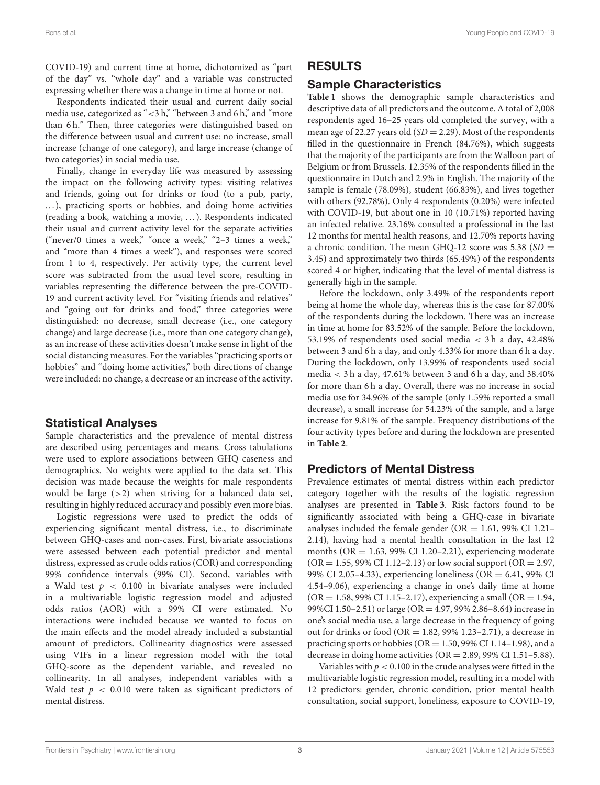COVID-19) and current time at home, dichotomized as "part of the day" vs. "whole day" and a variable was constructed expressing whether there was a change in time at home or not.

Respondents indicated their usual and current daily social media use, categorized as "<3 h," "between 3 and 6 h," and "more than 6 h." Then, three categories were distinguished based on the difference between usual and current use: no increase, small increase (change of one category), and large increase (change of two categories) in social media use.

Finally, change in everyday life was measured by assessing the impact on the following activity types: visiting relatives and friends, going out for drinks or food (to a pub, party, ...), practicing sports or hobbies, and doing home activities (reading a book, watching a movie, . . . ). Respondents indicated their usual and current activity level for the separate activities ("never/0 times a week," "once a week," "2–3 times a week," and "more than 4 times a week"), and responses were scored from 1 to 4, respectively. Per activity type, the current level score was subtracted from the usual level score, resulting in variables representing the difference between the pre-COVID-19 and current activity level. For "visiting friends and relatives" and "going out for drinks and food," three categories were distinguished: no decrease, small decrease (i.e., one category change) and large decrease (i.e., more than one category change), as an increase of these activities doesn't make sense in light of the social distancing measures. For the variables "practicing sports or hobbies" and "doing home activities," both directions of change were included: no change, a decrease or an increase of the activity.

## Statistical Analyses

Sample characteristics and the prevalence of mental distress are described using percentages and means. Cross tabulations were used to explore associations between GHQ caseness and demographics. No weights were applied to the data set. This decision was made because the weights for male respondents would be large  $(>2)$  when striving for a balanced data set, resulting in highly reduced accuracy and possibly even more bias.

Logistic regressions were used to predict the odds of experiencing significant mental distress, i.e., to discriminate between GHQ-cases and non-cases. First, bivariate associations were assessed between each potential predictor and mental distress, expressed as crude odds ratios (COR) and corresponding 99% confidence intervals (99% CI). Second, variables with a Wald test  $p < 0.100$  in bivariate analyses were included in a multivariable logistic regression model and adjusted odds ratios (AOR) with a 99% CI were estimated. No interactions were included because we wanted to focus on the main effects and the model already included a substantial amount of predictors. Collinearity diagnostics were assessed using VIFs in a linear regression model with the total GHQ-score as the dependent variable, and revealed no collinearity. In all analyses, independent variables with a Wald test  $p < 0.010$  were taken as significant predictors of mental distress.

## RESULTS

## Sample Characteristics

**[Table 1](#page-3-0)** shows the demographic sample characteristics and descriptive data of all predictors and the outcome. A total of 2,008 respondents aged 16–25 years old completed the survey, with a mean age of 22.27 years old  $(SD = 2.29)$ . Most of the respondents filled in the questionnaire in French (84.76%), which suggests that the majority of the participants are from the Walloon part of Belgium or from Brussels. 12.35% of the respondents filled in the questionnaire in Dutch and 2.9% in English. The majority of the sample is female (78.09%), student (66.83%), and lives together with others (92.78%). Only 4 respondents (0.20%) were infected with COVID-19, but about one in 10 (10.71%) reported having an infected relative. 23.16% consulted a professional in the last 12 months for mental health reasons, and 12.70% reports having a chronic condition. The mean GHQ-12 score was 5.38 (SD = 3.45) and approximately two thirds (65.49%) of the respondents scored 4 or higher, indicating that the level of mental distress is generally high in the sample.

Before the lockdown, only 3.49% of the respondents report being at home the whole day, whereas this is the case for 87.00% of the respondents during the lockdown. There was an increase in time at home for 83.52% of the sample. Before the lockdown, 53.19% of respondents used social media < 3 h a day, 42.48% between 3 and 6 h a day, and only 4.33% for more than 6 h a day. During the lockdown, only 13.99% of respondents used social media  $<$  3 h a day, 47.61% between 3 and 6 h a day, and 38.40% for more than 6 h a day. Overall, there was no increase in social media use for 34.96% of the sample (only 1.59% reported a small decrease), a small increase for 54.23% of the sample, and a large increase for 9.81% of the sample. Frequency distributions of the four activity types before and during the lockdown are presented in **[Table 2](#page-3-1)**.

## Predictors of Mental Distress

Prevalence estimates of mental distress within each predictor category together with the results of the logistic regression analyses are presented in **[Table 3](#page-4-0)**. Risk factors found to be significantly associated with being a GHQ-case in bivariate analyses included the female gender ( $OR = 1.61$ , 99% CI 1.21– 2.14), having had a mental health consultation in the last 12 months ( $OR = 1.63$ , 99% CI 1.20–2.21), experiencing moderate  $(OR = 1.55, 99\% \text{ CI } 1.12 - 2.13)$  or low social support  $(OR = 2.97, 1.12)$ 99% CI 2.05–4.33), experiencing loneliness (OR = 6.41, 99% CI 4.54–9.06), experiencing a change in one's daily time at home  $(OR = 1.58, 99\% \text{ CI } 1.15 - 2.17)$ , experiencing a small  $(OR = 1.94, 1.15)$ 99%CI 1.50–2.51) or large (OR = 4.97, 99% 2.86–8.64) increase in one's social media use, a large decrease in the frequency of going out for drinks or food (OR = 1.82, 99% 1.23–2.71), a decrease in practicing sports or hobbies ( $OR = 1.50$ , 99% CI 1.14–1.98), and a decrease in doing home activities (OR = 2.89, 99% CI 1.51–5.88).

Variables with  $p < 0.100$  in the crude analyses were fitted in the multivariable logistic regression model, resulting in a model with 12 predictors: gender, chronic condition, prior mental health consultation, social support, loneliness, exposure to COVID-19,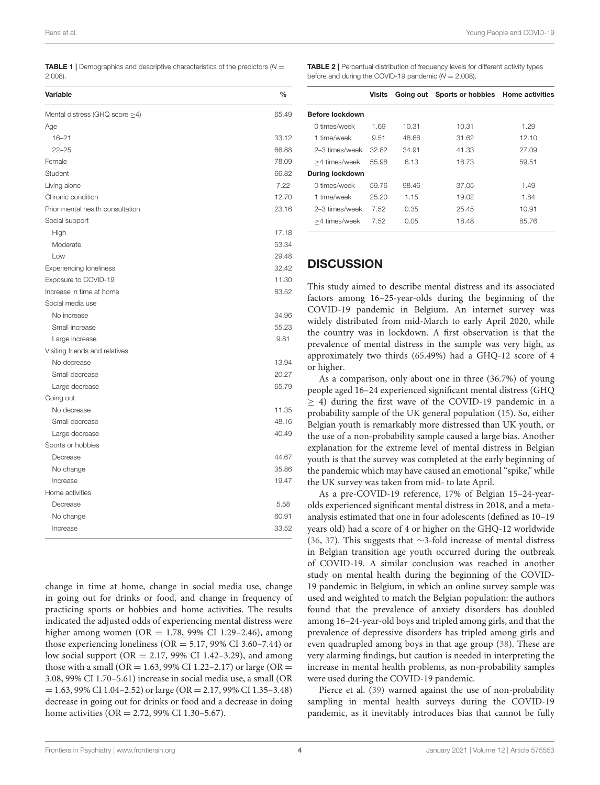<span id="page-3-0"></span>**TABLE 1** | Demographics and descriptive characteristics of the predictors  $(N =$ 2,008).

| <b>Variable</b>                      | $\frac{0}{0}$ |
|--------------------------------------|---------------|
| Mental distress (GHQ score $\geq$ 4) | 65.49         |
| Age                                  |               |
| $16 - 21$                            | 33.12         |
| $22 - 25$                            | 66.88         |
| Female                               | 78.09         |
| Student                              | 66.82         |
| Living alone                         | 7.22          |
| Chronic condition                    | 12.70         |
| Prior mental health consultation     | 23.16         |
| Social support                       |               |
| High                                 | 17.18         |
| Moderate                             | 53.34         |
| Low                                  | 29.48         |
| <b>Experiencing loneliness</b>       | 32.42         |
| Exposure to COVID-19                 | 11.30         |
| Increase in time at home             | 83.52         |
| Social media use                     |               |
| No increase                          | 34.96         |
| Small increase                       | 55.23         |
| Large increase                       | 9.81          |
| Visiting friends and relatives       |               |
| No decrease                          | 13.94         |
| Small decrease                       | 20.27         |
| Large decrease                       | 65.79         |
| Going out                            |               |
| No decrease                          | 11.35         |
| Small decrease                       | 48.16         |
| Large decrease                       | 40.49         |
| Sports or hobbies                    |               |
| Decrease                             | 44.67         |
| No change                            | 35.86         |
| Increase                             | 19.47         |
| Home activities                      |               |
| Decrease                             | 5.58          |
| No change                            | 60.91         |
| Increase                             | 33.52         |

change in time at home, change in social media use, change in going out for drinks or food, and change in frequency of practicing sports or hobbies and home activities. The results indicated the adjusted odds of experiencing mental distress were higher among women (OR = 1.78, 99% CI 1.29-2.46), among those experiencing loneliness ( $OR = 5.17$ , 99% CI 3.60-7.44) or low social support ( $OR = 2.17$ , 99% CI 1.42–3.29), and among those with a small (OR = 1.63, 99% CI 1.22–2.17) or large (OR = 3.08, 99% CI 1.70–5.61) increase in social media use, a small (OR  $= 1.63, 99\% \text{ CI } 1.04 - 2.52$ ) or large (OR  $= 2.17, 99\% \text{ CI } 1.35 - 3.48$ ) decrease in going out for drinks or food and a decrease in doing home activities (OR = 2.72, 99% CI 1.30–5.67).

<span id="page-3-1"></span>TABLE 2 | Percentual distribution of frequency levels for different activity types before and during the COVID-19 pandemic ( $N = 2,008$ ).

|                        | Visits |       | Going out Sports or hobbies Home activities |       |
|------------------------|--------|-------|---------------------------------------------|-------|
| Before lockdown        |        |       |                                             |       |
| 0 times/week           | 1.69   | 10.31 | 10.31                                       | 1.29  |
| 1 time/week            | 9.51   | 48.66 | 31.62                                       | 12.10 |
| 2–3 times/week         | 32.82  | 34.91 | 41.33                                       | 27.09 |
| >4 times/week          | 55.98  | 6.13  | 16.73                                       | 59.51 |
| <b>During lockdown</b> |        |       |                                             |       |
| 0 times/week           | 59.76  | 98.46 | 37.05                                       | 1.49  |
| 1 time/week            | 25.20  | 1.15  | 19.02                                       | 1.84  |
| 2-3 times/week         | 7.52   | 0.35  | 25.45                                       | 10.91 |
| >4 times/week          | 7.52   | 0.05  | 18.48                                       | 85.76 |

## **DISCUSSION**

This study aimed to describe mental distress and its associated factors among 16–25-year-olds during the beginning of the COVID-19 pandemic in Belgium. An internet survey was widely distributed from mid-March to early April 2020, while the country was in lockdown. A first observation is that the prevalence of mental distress in the sample was very high, as approximately two thirds (65.49%) had a GHQ-12 score of 4 or higher.

As a comparison, only about one in three (36.7%) of young people aged 16–24 experienced significant mental distress (GHQ  $\geq$  4) during the first wave of the COVID-19 pandemic in a probability sample of the UK general population [\(15\)](#page-7-1). So, either Belgian youth is remarkably more distressed than UK youth, or the use of a non-probability sample caused a large bias. Another explanation for the extreme level of mental distress in Belgian youth is that the survey was completed at the early beginning of the pandemic which may have caused an emotional "spike," while the UK survey was taken from mid- to late April.

As a pre-COVID-19 reference, 17% of Belgian 15–24-yearolds experienced significant mental distress in 2018, and a metaanalysis estimated that one in four adolescents (defined as 10–19 years old) had a score of 4 or higher on the GHQ-12 worldwide [\(36,](#page-7-18) [37\)](#page-7-19). This suggests that ∼3-fold increase of mental distress in Belgian transition age youth occurred during the outbreak of COVID-19. A similar conclusion was reached in another study on mental health during the beginning of the COVID-19 pandemic in Belgium, in which an online survey sample was used and weighted to match the Belgian population: the authors found that the prevalence of anxiety disorders has doubled among 16–24-year-old boys and tripled among girls, and that the prevalence of depressive disorders has tripled among girls and even quadrupled among boys in that age group [\(38\)](#page-7-20). These are very alarming findings, but caution is needed in interpreting the increase in mental health problems, as non-probability samples were used during the COVID-19 pandemic.

Pierce et al. [\(39\)](#page-7-21) warned against the use of non-probability sampling in mental health surveys during the COVID-19 pandemic, as it inevitably introduces bias that cannot be fully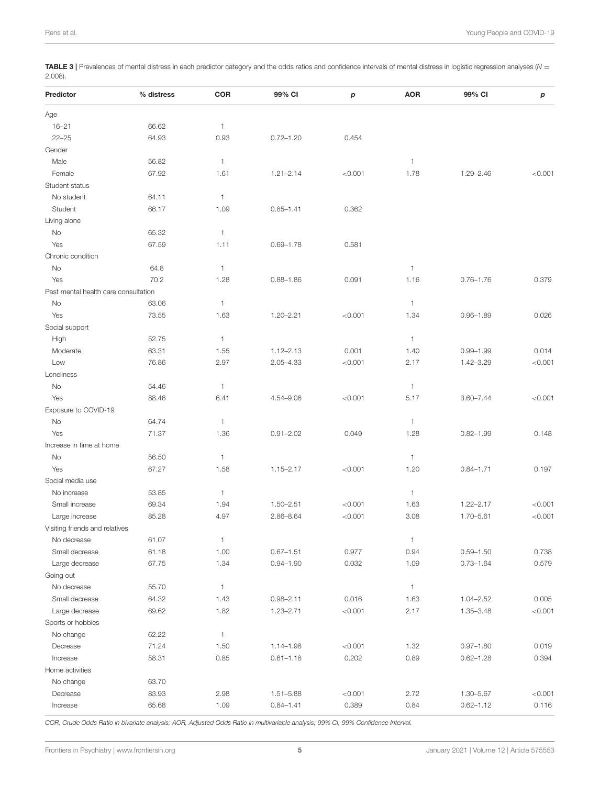<span id="page-4-0"></span>TABLE 3 | Prevalences of mental distress in each predictor category and the odds ratios and confidence intervals of mental distress in logistic regression analyses ( $N =$ 2,008).

| Predictor                            | % distress | COR          | 99% CI        | p       | <b>AOR</b>   | 99% CI        | р       |
|--------------------------------------|------------|--------------|---------------|---------|--------------|---------------|---------|
| Age                                  |            |              |               |         |              |               |         |
| $16 - 21$                            | 66.62      | $\mathbf{1}$ |               |         |              |               |         |
| $22 - 25$                            | 64.93      | 0.93         | $0.72 - 1.20$ | 0.454   |              |               |         |
| Gender                               |            |              |               |         |              |               |         |
| Male                                 | 56.82      | 1            |               |         | $\mathbf{1}$ |               |         |
| Female                               | 67.92      | 1.61         | $1.21 - 2.14$ | < 0.001 | 1.78         | $1.29 - 2.46$ | < 0.001 |
| Student status                       |            |              |               |         |              |               |         |
| No student                           | 64.11      | 1            |               |         |              |               |         |
| Student                              | 66.17      | 1.09         | $0.85 - 1.41$ | 0.362   |              |               |         |
| Living alone                         |            |              |               |         |              |               |         |
| No                                   | 65.32      | 1            |               |         |              |               |         |
| Yes                                  | 67.59      | 1.11         | $0.69 - 1.78$ | 0.581   |              |               |         |
| Chronic condition                    |            |              |               |         |              |               |         |
| No                                   | 64.8       | 1            |               |         | $\mathbf{1}$ |               |         |
| Yes                                  | 70.2       | 1.28         | $0.88 - 1.86$ | 0.091   | 1.16         | $0.76 - 1.76$ | 0.379   |
| Past mental health care consultation |            |              |               |         |              |               |         |
| No                                   | 63.06      | 1            |               |         | $\mathbf{1}$ |               |         |
| Yes                                  | 73.55      | 1.63         | $1.20 - 2.21$ | < 0.001 | 1.34         | $0.96 - 1.89$ | 0.026   |
| Social support                       |            |              |               |         |              |               |         |
| High                                 | 52.75      | 1            |               |         | $\mathbf{1}$ |               |         |
| Moderate                             | 63.31      | 1.55         | $1.12 - 2.13$ | 0.001   | 1.40         | $0.99 - 1.99$ | 0.014   |
| Low                                  | 76.86      | 2.97         | $2.05 - 4.33$ | < 0.001 | 2.17         | $1.42 - 3.29$ | < 0.001 |
| Loneliness                           |            |              |               |         |              |               |         |
| No                                   | 54.46      | $\mathbf{1}$ |               |         | $\mathbf{1}$ |               |         |
| Yes                                  | 88.46      | 6.41         | 4.54-9.06     | < 0.001 | 5.17         | $3.60 - 7.44$ | < 0.001 |
| Exposure to COVID-19                 |            |              |               |         |              |               |         |
|                                      | 64.74      | $\mathbf{1}$ |               |         | $\mathbf{1}$ |               |         |
| No<br>Yes                            | 71.37      | 1.36         | $0.91 - 2.02$ | 0.049   | 1.28         | $0.82 - 1.99$ | 0.148   |
| Increase in time at home             |            |              |               |         |              |               |         |
|                                      |            |              |               |         |              |               |         |
| No                                   | 56.50      | 1            |               |         | $\mathbf{1}$ |               |         |
| Yes<br>Social media use              | 67.27      | 1.58         | $1.15 - 2.17$ | < 0.001 | 1.20         | $0.84 - 1.71$ | 0.197   |
|                                      |            |              |               |         |              |               |         |
| No increase                          | 53.85      | 1            |               |         | $\mathbf{1}$ |               |         |
| Small increase                       | 69.34      | 1.94         | $1.50 - 2.51$ | < 0.001 | 1.63         | $1.22 - 2.17$ | < 0.001 |
| Large increase                       | 85.28      | 4.97         | 2.86-8.64     | < 0.001 | 3.08         | 1.70-5.61     | < 0.001 |
| Visiting friends and relatives       |            |              |               |         |              |               |         |
| No decrease                          | 61.07      | $\mathbf{1}$ |               |         | $\mathbf{1}$ |               |         |
| Small decrease                       | 61.18      | 1.00         | $0.67 - 1.51$ | 0.977   | 0.94         | $0.59 - 1.50$ | 0.738   |
| Large decrease                       | 67.75      | 1.34         | $0.94 - 1.90$ | 0.032   | 1.09         | $0.73 - 1.64$ | 0.579   |
| Going out                            |            |              |               |         |              |               |         |
| No decrease                          | 55.70      | $\mathbf{1}$ |               |         | $\mathbf{1}$ |               |         |
| Small decrease                       | 64.32      | 1.43         | $0.98 - 2.11$ | 0.016   | 1.63         | $1.04 - 2.52$ | 0.005   |
| Large decrease                       | 69.62      | 1.82         | $1.23 - 2.71$ | < 0.001 | 2.17         | 1.35-3.48     | < 0.001 |
| Sports or hobbies                    |            |              |               |         |              |               |         |
| No change                            | 62.22      | $\mathbf{1}$ |               |         |              |               |         |
| Decrease                             | 71.24      | 1.50         | 1.14-1.98     | < 0.001 | 1.32         | $0.97 - 1.80$ | 0.019   |
| Increase                             | 58.31      | 0.85         | $0.61 - 1.18$ | 0.202   | 0.89         | $0.62 - 1.28$ | 0.394   |
| Home activities                      |            |              |               |         |              |               |         |
| No change                            | 63.70      |              |               |         |              |               |         |
| Decrease                             | 83.93      | 2.98         | $1.51 - 5.88$ | < 0.001 | 2.72         | 1.30-5.67     | < 0.001 |
| Increase                             | 65.68      | 1.09         | $0.84 - 1.41$ | 0.389   | 0.84         | $0.62 - 1.12$ | 0.116   |

COR, Crude Odds Ratio in bivariate analysis; AOR, Adjusted Odds Ratio in multivariable analysis; 99% CI, 99% Confidence Interval.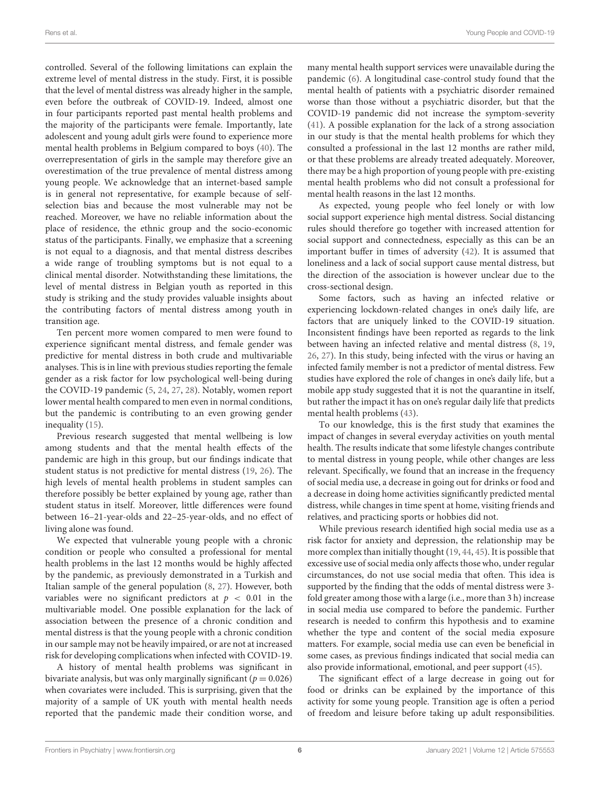controlled. Several of the following limitations can explain the extreme level of mental distress in the study. First, it is possible that the level of mental distress was already higher in the sample, even before the outbreak of COVID-19. Indeed, almost one in four participants reported past mental health problems and the majority of the participants were female. Importantly, late adolescent and young adult girls were found to experience more mental health problems in Belgium compared to boys [\(40\)](#page-7-22). The overrepresentation of girls in the sample may therefore give an overestimation of the true prevalence of mental distress among young people. We acknowledge that an internet-based sample is in general not representative, for example because of selfselection bias and because the most vulnerable may not be reached. Moreover, we have no reliable information about the place of residence, the ethnic group and the socio-economic status of the participants. Finally, we emphasize that a screening is not equal to a diagnosis, and that mental distress describes a wide range of troubling symptoms but is not equal to a clinical mental disorder. Notwithstanding these limitations, the level of mental distress in Belgian youth as reported in this study is striking and the study provides valuable insights about the contributing factors of mental distress among youth in transition age.

Ten percent more women compared to men were found to experience significant mental distress, and female gender was predictive for mental distress in both crude and multivariable analyses. This is in line with previous studies reporting the female gender as a risk factor for low psychological well-being during the COVID-19 pandemic [\(5,](#page-6-4) [24,](#page-7-8) [27,](#page-7-23) [28\)](#page-7-9). Notably, women report lower mental health compared to men even in normal conditions, but the pandemic is contributing to an even growing gender inequality [\(15\)](#page-7-1).

Previous research suggested that mental wellbeing is low among students and that the mental health effects of the pandemic are high in this group, but our findings indicate that student status is not predictive for mental distress [\(19,](#page-7-0) [26\)](#page-7-11). The high levels of mental health problems in student samples can therefore possibly be better explained by young age, rather than student status in itself. Moreover, little differences were found between 16–21-year-olds and 22–25-year-olds, and no effect of living alone was found.

We expected that vulnerable young people with a chronic condition or people who consulted a professional for mental health problems in the last 12 months would be highly affected by the pandemic, as previously demonstrated in a Turkish and Italian sample of the general population [\(8,](#page-6-7) [27\)](#page-7-23). However, both variables were no significant predictors at  $p < 0.01$  in the multivariable model. One possible explanation for the lack of association between the presence of a chronic condition and mental distress is that the young people with a chronic condition in our sample may not be heavily impaired, or are not at increased risk for developing complications when infected with COVID-19.

A history of mental health problems was significant in bivariate analysis, but was only marginally significant ( $p = 0.026$ ) when covariates were included. This is surprising, given that the majority of a sample of UK youth with mental health needs reported that the pandemic made their condition worse, and many mental health support services were unavailable during the pandemic [\(6\)](#page-6-5). A longitudinal case-control study found that the mental health of patients with a psychiatric disorder remained worse than those without a psychiatric disorder, but that the COVID-19 pandemic did not increase the symptom-severity [\(41\)](#page-7-24). A possible explanation for the lack of a strong association in our study is that the mental health problems for which they consulted a professional in the last 12 months are rather mild, or that these problems are already treated adequately. Moreover, there may be a high proportion of young people with pre-existing mental health problems who did not consult a professional for mental health reasons in the last 12 months.

As expected, young people who feel lonely or with low social support experience high mental distress. Social distancing rules should therefore go together with increased attention for social support and connectedness, especially as this can be an important buffer in times of adversity [\(42\)](#page-7-25). It is assumed that loneliness and a lack of social support cause mental distress, but the direction of the association is however unclear due to the cross-sectional design.

Some factors, such as having an infected relative or experiencing lockdown-related changes in one's daily life, are factors that are uniquely linked to the COVID-19 situation. Inconsistent findings have been reported as regards to the link between having an infected relative and mental distress [\(8,](#page-6-7) [19,](#page-7-0) [26,](#page-7-11) [27\)](#page-7-23). In this study, being infected with the virus or having an infected family member is not a predictor of mental distress. Few studies have explored the role of changes in one's daily life, but a mobile app study suggested that it is not the quarantine in itself, but rather the impact it has on one's regular daily life that predicts mental health problems [\(43\)](#page-7-26).

To our knowledge, this is the first study that examines the impact of changes in several everyday activities on youth mental health. The results indicate that some lifestyle changes contribute to mental distress in young people, while other changes are less relevant. Specifically, we found that an increase in the frequency of social media use, a decrease in going out for drinks or food and a decrease in doing home activities significantly predicted mental distress, while changes in time spent at home, visiting friends and relatives, and practicing sports or hobbies did not.

While previous research identified high social media use as a risk factor for anxiety and depression, the relationship may be more complex than initially thought [\(19,](#page-7-0) [44,](#page-7-27) [45\)](#page-7-28). It is possible that excessive use of social media only affects those who, under regular circumstances, do not use social media that often. This idea is supported by the finding that the odds of mental distress were 3 fold greater among those with a large (i.e., more than 3 h) increase in social media use compared to before the pandemic. Further research is needed to confirm this hypothesis and to examine whether the type and content of the social media exposure matters. For example, social media use can even be beneficial in some cases, as previous findings indicated that social media can also provide informational, emotional, and peer support [\(45\)](#page-7-28).

The significant effect of a large decrease in going out for food or drinks can be explained by the importance of this activity for some young people. Transition age is often a period of freedom and leisure before taking up adult responsibilities.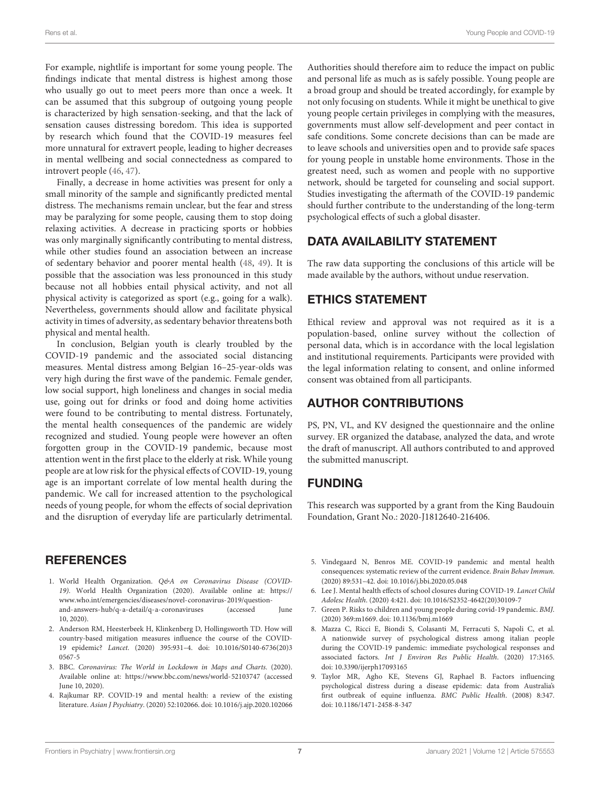For example, nightlife is important for some young people. The findings indicate that mental distress is highest among those who usually go out to meet peers more than once a week. It can be assumed that this subgroup of outgoing young people is characterized by high sensation-seeking, and that the lack of sensation causes distressing boredom. This idea is supported by research which found that the COVID-19 measures feel more unnatural for extravert people, leading to higher decreases in mental wellbeing and social connectedness as compared to introvert people [\(46,](#page-7-29) [47\)](#page-8-0).

Finally, a decrease in home activities was present for only a small minority of the sample and significantly predicted mental distress. The mechanisms remain unclear, but the fear and stress may be paralyzing for some people, causing them to stop doing relaxing activities. A decrease in practicing sports or hobbies was only marginally significantly contributing to mental distress, while other studies found an association between an increase of sedentary behavior and poorer mental health [\(48,](#page-8-1) [49\)](#page-8-2). It is possible that the association was less pronounced in this study because not all hobbies entail physical activity, and not all physical activity is categorized as sport (e.g., going for a walk). Nevertheless, governments should allow and facilitate physical activity in times of adversity, as sedentary behavior threatens both physical and mental health.

In conclusion, Belgian youth is clearly troubled by the COVID-19 pandemic and the associated social distancing measures. Mental distress among Belgian 16–25-year-olds was very high during the first wave of the pandemic. Female gender, low social support, high loneliness and changes in social media use, going out for drinks or food and doing home activities were found to be contributing to mental distress. Fortunately, the mental health consequences of the pandemic are widely recognized and studied. Young people were however an often forgotten group in the COVID-19 pandemic, because most attention went in the first place to the elderly at risk. While young people are at low risk for the physical effects of COVID-19, young age is an important correlate of low mental health during the pandemic. We call for increased attention to the psychological needs of young people, for whom the effects of social deprivation and the disruption of everyday life are particularly detrimental.

## **REFERENCES**

- <span id="page-6-0"></span>1. World Health Organization. Q&A on Coronavirus Disease (COVID-19). World Health Organization (2020). Available online at: [https://](https://www.who.int/emergencies/diseases/novel-coronavirus-2019/question-and-answers-hub/q-a-detail/q-a-coronaviruses) [www.who.int/emergencies/diseases/novel-coronavirus-2019/question](https://www.who.int/emergencies/diseases/novel-coronavirus-2019/question-and-answers-hub/q-a-detail/q-a-coronaviruses)[and-answers-hub/q-a-detail/q-a-coronaviruses](https://www.who.int/emergencies/diseases/novel-coronavirus-2019/question-and-answers-hub/q-a-detail/q-a-coronaviruses) (accessed June 10, 2020).
- <span id="page-6-1"></span>2. Anderson RM, Heesterbeek H, Klinkenberg D, Hollingsworth TD. How will country-based mitigation measures influence the course of the COVID-19 epidemic? Lancet[. \(2020\) 395:931–4. doi: 10.1016/S0140-6736\(20\)3](https://doi.org/10.1016/S0140-6736(20)30567-5) 0567-5
- <span id="page-6-2"></span>3. BBC. Coronavirus: The World in Lockdown in Maps and Charts. (2020). Available online at:<https://www.bbc.com/news/world-52103747> (accessed June 10, 2020).
- <span id="page-6-3"></span>4. Rajkumar RP. COVID-19 and mental health: a review of the existing literature. Asian J Psychiatry. (2020) 52:102066. doi: [10.1016/j.ajp.2020.102066](https://doi.org/10.1016/j.ajp.2020.102066)

Authorities should therefore aim to reduce the impact on public and personal life as much as is safely possible. Young people are a broad group and should be treated accordingly, for example by not only focusing on students. While it might be unethical to give young people certain privileges in complying with the measures, governments must allow self-development and peer contact in safe conditions. Some concrete decisions than can be made are to leave schools and universities open and to provide safe spaces for young people in unstable home environments. Those in the greatest need, such as women and people with no supportive network, should be targeted for counseling and social support. Studies investigating the aftermath of the COVID-19 pandemic should further contribute to the understanding of the long-term psychological effects of such a global disaster.

# DATA AVAILABILITY STATEMENT

The raw data supporting the conclusions of this article will be made available by the authors, without undue reservation.

# ETHICS STATEMENT

Ethical review and approval was not required as it is a population-based, online survey without the collection of personal data, which is in accordance with the local legislation and institutional requirements. Participants were provided with the legal information relating to consent, and online informed consent was obtained from all participants.

# AUTHOR CONTRIBUTIONS

PS, PN, VL, and KV designed the questionnaire and the online survey. ER organized the database, analyzed the data, and wrote the draft of manuscript. All authors contributed to and approved the submitted manuscript.

# FUNDING

This research was supported by a grant from the King Baudouin Foundation, Grant No.: 2020-J1812640-216406.

- <span id="page-6-4"></span>5. Vindegaard N, Benros ME. COVID-19 pandemic and mental health consequences: systematic review of the current evidence. Brain Behav Immun. (2020) 89:531–42. doi: [10.1016/j.bbi.2020.05.048](https://doi.org/10.1016/j.bbi.2020.05.048)
- <span id="page-6-5"></span>6. Lee J. Mental health effects of school closures during COVID-19. Lancet Child Adolesc Health. (2020) 4:421. doi: [10.1016/S2352-4642\(20\)30109-7](https://doi.org/10.1016/S2352-4642(20)30109-7)
- <span id="page-6-6"></span>7. Green P. Risks to children and young people during covid-19 pandemic. BMJ. (2020) 369:m1669. doi: [10.1136/bmj.m1669](https://doi.org/10.1136/bmj.m1669)
- <span id="page-6-7"></span>8. Mazza C, Ricci E, Biondi S, Colasanti M, Ferracuti S, Napoli C, et al. A nationwide survey of psychological distress among italian people during the COVID-19 pandemic: immediate psychological responses and associated factors. Int J Environ Res Public Health. (2020) 17:3165. doi: [10.3390/ijerph17093165](https://doi.org/10.3390/ijerph17093165)
- 9. Taylor MR, Agho KE, Stevens GJ, Raphael B. Factors influencing psychological distress during a disease epidemic: data from Australia's first outbreak of equine influenza. BMC Public Health. (2008) 8:347. doi: [10.1186/1471-2458-8-347](https://doi.org/10.1186/1471-2458-8-347)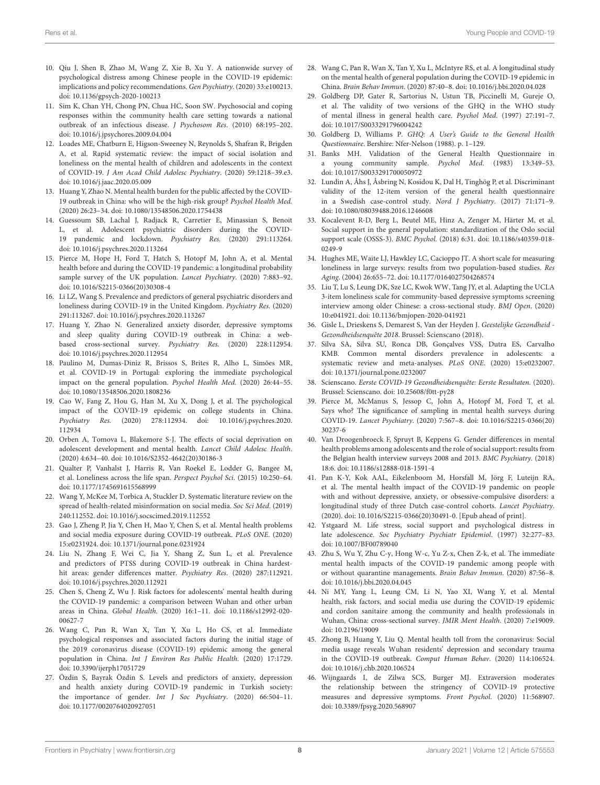- 10. Qiu J, Shen B, Zhao M, Wang Z, Xie B, Xu Y. A nationwide survey of psychological distress among Chinese people in the COVID-19 epidemic: implications and policy recommendations. Gen Psychiatry. (2020) 33:e100213. doi: [10.1136/gpsych-2020-100213](https://doi.org/10.1136/gpsych-2020-100213)
- 11. Sim K, Chan YH, Chong PN, Chua HC, Soon SW. Psychosocial and coping responses within the community health care setting towards a national outbreak of an infectious disease. J Psychosom Res. (2010) 68:195–202. doi: [10.1016/j.jpsychores.2009.04.004](https://doi.org/10.1016/j.jpsychores.2009.04.004)
- 12. Loades ME, Chatburn E, Higson-Sweeney N, Reynolds S, Shafran R, Brigden A, et al. Rapid systematic review: the impact of social isolation and loneliness on the mental health of children and adolescents in the context of COVID-19. J Am Acad Child Adolesc Psychiatry. (2020) 59:1218–39.e3. doi: [10.1016/j.jaac.2020.05.009](https://doi.org/10.1016/j.jaac.2020.05.009)
- 13. Huang Y, Zhao N. Mental health burden for the public affected by the COVID-19 outbreak in China: who will be the high-risk group? Psychol Health Med. (2020) 26:23–34. doi: [10.1080/13548506.2020.1754438](https://doi.org/10.1080/13548506.2020.1754438)
- 14. Guessoum SB, Lachal J, Radjack R, Carretier E, Minassian S, Benoit L, et al. Adolescent psychiatric disorders during the COVID-19 pandemic and lockdown. Psychiatry Res. (2020) 291:113264. doi: [10.1016/j.psychres.2020.113264](https://doi.org/10.1016/j.psychres.2020.113264)
- <span id="page-7-1"></span>15. Pierce M, Hope H, Ford T, Hatch S, Hotopf M, John A, et al. Mental health before and during the COVID-19 pandemic: a longitudinal probability sample survey of the UK population. Lancet Psychiatry. (2020) 7:883–92. doi: [10.1016/S2215-0366\(20\)30308-4](https://doi.org/10.1016/S2215-0366(20)30308-4)
- <span id="page-7-6"></span>16. Li LZ, Wang S. Prevalence and predictors of general psychiatric disorders and loneliness during COVID-19 in the United Kingdom. Psychiatry Res. (2020) 291:113267. doi: [10.1016/j.psychres.2020.113267](https://doi.org/10.1016/j.psychres.2020.113267)
- 17. Huang Y, Zhao N. Generalized anxiety disorder, depressive symptoms and sleep quality during COVID-19 outbreak in China: a webbased cross-sectional survey. Psychiatry Res. (2020) 228:112954. doi: [10.1016/j.psychres.2020.112954](https://doi.org/10.1016/j.psychres.2020.112954)
- <span id="page-7-7"></span>18. Paulino M, Dumas-Diniz R, Brissos S, Brites R, Alho L, Simões MR, et al. COVID-19 in Portugal: exploring the immediate psychological impact on the general population. Psychol Health Med. (2020) 26:44–55. doi: [10.1080/13548506.2020.1808236](https://doi.org/10.1080/13548506.2020.1808236)
- <span id="page-7-0"></span>19. Cao W, Fang Z, Hou G, Han M, Xu X, Dong J, et al. The psychological impact of the COVID-19 epidemic on college students in China. Psychiatry Res. [\(2020\) 278:112934. doi: 10.1016/j.psychres.2020.](https://doi.org/10.1016/j.psychres.2020.112934) 112934
- <span id="page-7-2"></span>20. Orben A, Tomova L, Blakemore S-J. The effects of social deprivation on adolescent development and mental health. Lancet Child Adolesc Health. (2020) 4:634–40. doi: [10.1016/S2352-4642\(20\)30186-3](https://doi.org/10.1016/S2352-4642(20)30186-3)
- <span id="page-7-3"></span>21. Qualter P, Vanhalst J, Harris R, Van Roekel E, Lodder G, Bangee M, et al. Loneliness across the life span. Perspect Psychol Sci. (2015) 10:250–64. doi: [10.1177/1745691615568999](https://doi.org/10.1177/1745691615568999)
- <span id="page-7-4"></span>22. Wang Y, McKee M, Torbica A, Stuckler D. Systematic literature review on the spread of health-related misinformation on social media. Soc Sci Med. (2019) 240:112552. doi: [10.1016/j.socscimed.2019.112552](https://doi.org/10.1016/j.socscimed.2019.112552)
- <span id="page-7-5"></span>23. Gao J, Zheng P, Jia Y, Chen H, Mao Y, Chen S, et al. Mental health problems and social media exposure during COVID-19 outbreak. PLoS ONE. (2020) 15:e0231924. doi: [10.1371/journal.pone.0231924](https://doi.org/10.1371/journal.pone.0231924)
- <span id="page-7-8"></span>24. Liu N, Zhang F, Wei C, Jia Y, Shang Z, Sun L, et al. Prevalence and predictors of PTSS during COVID-19 outbreak in China hardesthit areas: gender differences matter. Psychiatry Res. (2020) 287:112921. doi: [10.1016/j.psychres.2020.112921](https://doi.org/10.1016/j.psychres.2020.112921)
- <span id="page-7-10"></span>25. Chen S, Cheng Z, Wu J. Risk factors for adolescents' mental health during the COVID-19 pandemic: a comparison between Wuhan and other urban areas in China. Global Health[. \(2020\) 16:1–11. doi: 10.1186/s12992-020-](https://doi.org/10.1186/s12992-020-00627-7) 00627-7
- <span id="page-7-11"></span>26. Wang C, Pan R, Wan X, Tan Y, Xu L, Ho CS, et al. Immediate psychological responses and associated factors during the initial stage of the 2019 coronavirus disease (COVID-19) epidemic among the general population in China. Int J Environ Res Public Health. (2020) 17:1729. doi: [10.3390/ijerph17051729](https://doi.org/10.3390/ijerph17051729)
- <span id="page-7-23"></span>27. Özdin S, Bayrak Özdin S. Levels and predictors of anxiety, depression and health anxiety during COVID-19 pandemic in Turkish society: the importance of gender. Int J Soc Psychiatry. (2020) 66:504–11. doi: [10.1177/0020764020927051](https://doi.org/10.1177/0020764020927051)
- <span id="page-7-9"></span>28. Wang C, Pan R, Wan X, Tan Y, Xu L, McIntyre RS, et al. A longitudinal study on the mental health of general population during the COVID-19 epidemic in China. Brain Behav Immun. (2020) 87:40–8. doi: [10.1016/j.bbi.2020.04.028](https://doi.org/10.1016/j.bbi.2020.04.028)
- <span id="page-7-12"></span>29. Goldberg DP, Gater R, Sartorius N, Ustun TB, Piccinelli M, Gureje O, et al. The validity of two versions of the GHQ in the WHO study of mental illness in general health care. Psychol Med. (1997) 27:191–7. doi: [10.1017/S0033291796004242](https://doi.org/10.1017/S0033291796004242)
- 30. Goldberg D, Williams P. GHQ: A User's Guide to the General Health Questionnaire. Bershire: Nfer-Nelson (1988). p. 1–129.
- <span id="page-7-13"></span>31. Banks MH. Validation of the General Health Questionnaire in a young community sample. Psychol Med. (1983) 13:349–53. doi: [10.1017/S0033291700050972](https://doi.org/10.1017/S0033291700050972)
- <span id="page-7-14"></span>32. Lundin A, Åhs J, Åsbring N, Kosidou K, Dal H, Tinghög P, et al. Discriminant validity of the 12-item version of the general health questionnaire in a Swedish case-control study. Nord J Psychiatry. (2017) 71:171–9. doi: [10.1080/08039488.2016.1246608](https://doi.org/10.1080/08039488.2016.1246608)
- <span id="page-7-15"></span>33. Kocalevent R-D, Berg L, Beutel ME, Hinz A, Zenger M, Härter M, et al. Social support in the general population: standardization of the Oslo social support scale (OSSS-3). BMC Psychol. [\(2018\) 6:31. doi: 10.1186/s40359-018-](https://doi.org/10.1186/s40359-018-0249-9) 0249-9
- <span id="page-7-16"></span>34. Hughes ME, Waite LJ, Hawkley LC, Cacioppo JT. A short scale for measuring loneliness in large surveys: results from two population-based studies. Res Aging. (2004) 26:655–72. doi: [10.1177/0164027504268574](https://doi.org/10.1177/0164027504268574)
- <span id="page-7-17"></span>35. Liu T, Lu S, Leung DK, Sze LC, Kwok WW, Tang JY, et al. Adapting the UCLA 3-item loneliness scale for community-based depressive symptoms screening interview among older Chinese: a cross-sectional study. BMJ Open. (2020) 10:e041921. doi: [10.1136/bmjopen-2020-041921](https://doi.org/10.1136/bmjopen-2020-041921)
- <span id="page-7-18"></span>36. Gisle L, Drieskens S, Demarest S, Van der Heyden J. Geestelijke Gezondheid - Gezondheidsenquête 2018. Brussel: Scienscano (2018).
- <span id="page-7-19"></span>37. Silva SA, Silva SU, Ronca DB, Gonçalves VSS, Dutra ES, Carvalho KMB. Common mental disorders prevalence in adolescents: a systematic review and meta-analyses. PLoS ONE. (2020) 15:e0232007. doi: [10.1371/journal.pone.0232007](https://doi.org/10.1371/journal.pone.0232007)
- <span id="page-7-20"></span>38. Scienscano. Eerste COVID-19 Gezondheidsenquête: Eerste Resultaten. (2020). Brussel: Scienscano. doi: [10.25608/f0tt-py28](https://doi.org/10.25608/f0tt-py28)
- <span id="page-7-21"></span>39. Pierce M, McManus S, Jessop C, John A, Hotopf M, Ford T, et al. Says who? The significance of sampling in mental health surveys during COVID-19. Lancet Psychiatry[. \(2020\) 7:567–8. doi: 10.1016/S2215-0366\(20\)](https://doi.org/10.1016/S2215-0366(20)30237-6) 30237-6
- <span id="page-7-22"></span>40. Van Droogenbroeck F, Spruyt B, Keppens G. Gender differences in mental health problems among adolescents and the role of social support: results from the Belgian health interview surveys 2008 and 2013. BMC Psychiatry. (2018) 18:6. doi: [10.1186/s12888-018-1591-4](https://doi.org/10.1186/s12888-018-1591-4)
- <span id="page-7-24"></span>41. Pan K-Y, Kok AAL, Eikelenboom M, Horsfall M, Jörg F, Luteijn RA, et al. The mental health impact of the COVID-19 pandemic on people with and without depressive, anxiety, or obsessive-compulsive disorders: a longitudinal study of three Dutch case-control cohorts. Lancet Psychiatry. (2020). doi: [10.1016/S2215-0366\(20\)30491-0.](https://doi.org/10.1016/S2215-0366(20)30491-0) [Epub ahead of print].
- <span id="page-7-25"></span>42. Ystgaard M. Life stress, social support and psychological distress in late adolescence. Soc Psychiatry Psychiatr Epidemiol. (1997) 32:277–83. doi: [10.1007/BF00789040](https://doi.org/10.1007/BF00789040)
- <span id="page-7-26"></span>43. Zhu S, Wu Y, Zhu C-y, Hong W-c, Yu Z-x, Chen Z-k, et al. The immediate mental health impacts of the COVID-19 pandemic among people with or without quarantine managements. Brain Behav Immun. (2020) 87:56–8. doi: [10.1016/j.bbi.2020.04.045](https://doi.org/10.1016/j.bbi.2020.04.045)
- <span id="page-7-27"></span>44. Ni MY, Yang L, Leung CM, Li N, Yao XI, Wang Y, et al. Mental health, risk factors, and social media use during the COVID-19 epidemic and cordon sanitaire among the community and health professionals in Wuhan, China: cross-sectional survey. JMIR Ment Health. (2020) 7:e19009. doi: [10.2196/19009](https://doi.org/10.2196/19009)
- <span id="page-7-28"></span>45. Zhong B, Huang Y, Liu Q. Mental health toll from the coronavirus: Social media usage reveals Wuhan residents' depression and secondary trauma in the COVID-19 outbreak. Comput Human Behav. (2020) 114:106524. doi: [10.1016/j.chb.2020.106524](https://doi.org/10.1016/j.chb.2020.106524)
- <span id="page-7-29"></span>46. Wijngaards I, de Zilwa SCS, Burger MJ. Extraversion moderates the relationship between the stringency of COVID-19 protective measures and depressive symptoms. Front Psychol. (2020) 11:568907. doi: [10.3389/fpsyg.2020.568907](https://doi.org/10.3389/fpsyg.2020.568907)